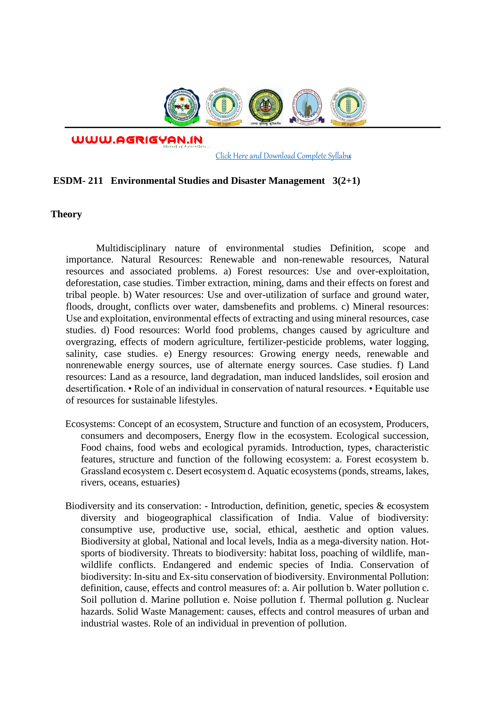

WWW.AGRIGYAN.IN

[Click Here and Download Complete Syllabus](http://agrigyan.in/)

## **ESDM- 211 Environmental Studies and Disaster Management 3(2+1)**

**Theory** 

 $\overline{a}$ 

Multidisciplinary nature of environmental studies Definition, scope and importance. Natural Resources: Renewable and non-renewable resources, Natural resources and associated problems. a) Forest resources: Use and over-exploitation, deforestation, case studies. Timber extraction, mining, dams and their effects on forest and tribal people. b) Water resources: Use and over-utilization of surface and ground water, floods, drought, conflicts over water, damsbenefits and problems. c) Mineral resources: Use and exploitation, environmental effects of extracting and using mineral resources, case studies. d) Food resources: World food problems, changes caused by agriculture and overgrazing, effects of modern agriculture, fertilizer-pesticide problems, water logging, salinity, case studies. e) Energy resources: Growing energy needs, renewable and nonrenewable energy sources, use of alternate energy sources. Case studies. f) Land resources: Land as a resource, land degradation, man induced landslides, soil erosion and desertification. • Role of an individual in conservation of natural resources. • Equitable use of resources for sustainable lifestyles.

- Ecosystems: Concept of an ecosystem, Structure and function of an ecosystem, Producers, consumers and decomposers, Energy flow in the ecosystem. Ecological succession, Food chains, food webs and ecological pyramids. Introduction, types, characteristic features, structure and function of the following ecosystem: a. Forest ecosystem b. Grassland ecosystem c. Desert ecosystem d. Aquatic ecosystems (ponds, streams, lakes, rivers, oceans, estuaries)
- Biodiversity and its conservation: Introduction, definition, genetic, species & ecosystem diversity and biogeographical classification of India. Value of biodiversity: consumptive use, productive use, social, ethical, aesthetic and option values. Biodiversity at global, National and local levels, India as a mega-diversity nation. Hotsports of biodiversity. Threats to biodiversity: habitat loss, poaching of wildlife, manwildlife conflicts. Endangered and endemic species of India. Conservation of biodiversity: In-situ and Ex-situ conservation of biodiversity. Environmental Pollution: definition, cause, effects and control measures of: a. Air pollution b. Water pollution c. Soil pollution d. Marine pollution e. Noise pollution f. Thermal pollution g. Nuclear hazards. Solid Waste Management: causes, effects and control measures of urban and industrial wastes. Role of an individual in prevention of pollution.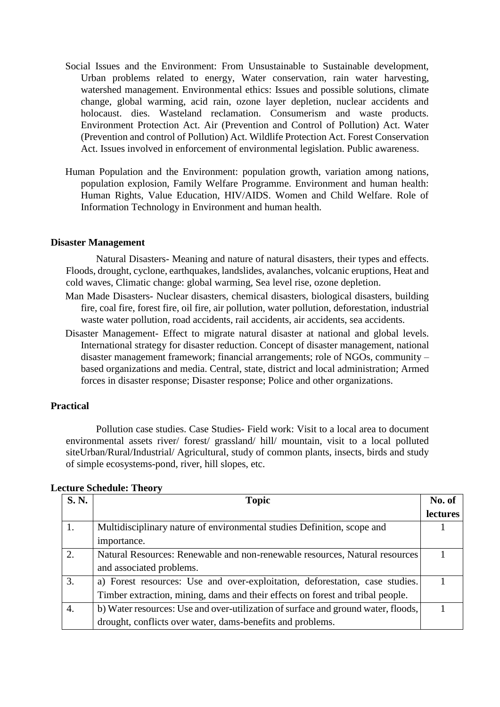- Social Issues and the Environment: From Unsustainable to Sustainable development, Urban problems related to energy, Water conservation, rain water harvesting, watershed management. Environmental ethics: Issues and possible solutions, climate change, global warming, acid rain, ozone layer depletion, nuclear accidents and holocaust. dies. Wasteland reclamation. Consumerism and waste products. Environment Protection Act. Air (Prevention and Control of Pollution) Act. Water (Prevention and control of Pollution) Act. Wildlife Protection Act. Forest Conservation Act. Issues involved in enforcement of environmental legislation. Public awareness.
- Human Population and the Environment: population growth, variation among nations, population explosion, Family Welfare Programme. Environment and human health: Human Rights, Value Education, HIV/AIDS. Women and Child Welfare. Role of Information Technology in Environment and human health.

## **Disaster Management**

Natural Disasters- Meaning and nature of natural disasters, their types and effects. Floods, drought, cyclone, earthquakes, landslides, avalanches, volcanic eruptions, Heat and cold waves, Climatic change: global warming, Sea level rise, ozone depletion.

- Man Made Disasters- Nuclear disasters, chemical disasters, biological disasters, building fire, coal fire, forest fire, oil fire, air pollution, water pollution, deforestation, industrial waste water pollution, road accidents, rail accidents, air accidents, sea accidents.
- Disaster Management- Effect to migrate natural disaster at national and global levels. International strategy for disaster reduction. Concept of disaster management, national disaster management framework; financial arrangements; role of NGOs, community – based organizations and media. Central, state, district and local administration; Armed forces in disaster response; Disaster response; Police and other organizations.

## **Practical**

Pollution case studies. Case Studies- Field work: Visit to a local area to document environmental assets river/ forest/ grassland/ hill/ mountain, visit to a local polluted siteUrban/Rural/Industrial/ Agricultural, study of common plants, insects, birds and study of simple ecosystems-pond, river, hill slopes, etc.

| <b>S. N.</b> | <b>Topic</b>                                                                      | No. of          |
|--------------|-----------------------------------------------------------------------------------|-----------------|
|              |                                                                                   | <b>lectures</b> |
| 1.           | Multidisciplinary nature of environmental studies Definition, scope and           |                 |
|              | importance.                                                                       |                 |
| 2.           | Natural Resources: Renewable and non-renewable resources, Natural resources       |                 |
|              | and associated problems.                                                          |                 |
| 3.           | a) Forest resources: Use and over-exploitation, deforestation, case studies.      |                 |
|              | Timber extraction, mining, dams and their effects on forest and tribal people.    |                 |
| 4.           | b) Water resources: Use and over-utilization of surface and ground water, floods, |                 |
|              | drought, conflicts over water, dams-benefits and problems.                        |                 |

## **Lecture Schedule: Theory**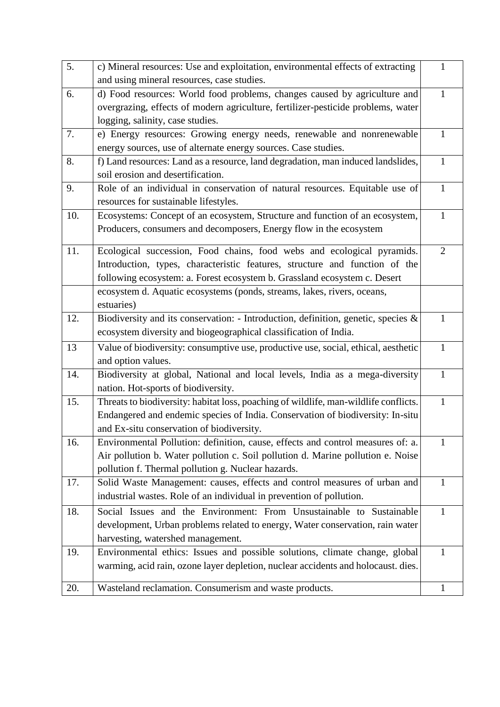| $\overline{5}$ . | c) Mineral resources: Use and exploitation, environmental effects of extracting      | $\mathbf{1}$   |
|------------------|--------------------------------------------------------------------------------------|----------------|
|                  | and using mineral resources, case studies.                                           |                |
| 6.               | d) Food resources: World food problems, changes caused by agriculture and            | $\mathbf{1}$   |
|                  | overgrazing, effects of modern agriculture, fertilizer-pesticide problems, water     |                |
|                  | logging, salinity, case studies.                                                     |                |
| 7.               | e) Energy resources: Growing energy needs, renewable and nonrenewable                | 1              |
|                  | energy sources, use of alternate energy sources. Case studies.                       |                |
| 8.               | f) Land resources: Land as a resource, land degradation, man induced landslides,     | $\mathbf{1}$   |
|                  | soil erosion and desertification.                                                    |                |
| 9.               | Role of an individual in conservation of natural resources. Equitable use of         | $\mathbf{1}$   |
|                  | resources for sustainable lifestyles.                                                |                |
| 10.              | Ecosystems: Concept of an ecosystem, Structure and function of an ecosystem,         | $\mathbf{1}$   |
|                  | Producers, consumers and decomposers, Energy flow in the ecosystem                   |                |
|                  |                                                                                      |                |
| 11.              | Ecological succession, Food chains, food webs and ecological pyramids.               | $\overline{2}$ |
|                  | Introduction, types, characteristic features, structure and function of the          |                |
|                  | following ecosystem: a. Forest ecosystem b. Grassland ecosystem c. Desert            |                |
|                  | ecosystem d. Aquatic ecosystems (ponds, streams, lakes, rivers, oceans,              |                |
|                  | estuaries)                                                                           |                |
| 12.              | Biodiversity and its conservation: - Introduction, definition, genetic, species $\&$ | $\mathbf{1}$   |
|                  | ecosystem diversity and biogeographical classification of India.                     |                |
| 13               | Value of biodiversity: consumptive use, productive use, social, ethical, aesthetic   | $\mathbf{1}$   |
|                  | and option values.                                                                   |                |
| 14.              | Biodiversity at global, National and local levels, India as a mega-diversity         | $\mathbf{1}$   |
|                  | nation. Hot-sports of biodiversity.                                                  |                |
| 15.              | Threats to biodiversity: habitat loss, poaching of wildlife, man-wildlife conflicts. | $\mathbf{1}$   |
|                  | Endangered and endemic species of India. Conservation of biodiversity: In-situ       |                |
|                  | and Ex-situ conservation of biodiversity.                                            |                |
| 16.              | Environmental Pollution: definition, cause, effects and control measures of: a.      | 1              |
|                  | Air pollution b. Water pollution c. Soil pollution d. Marine pollution e. Noise      |                |
|                  | pollution f. Thermal pollution g. Nuclear hazards.                                   |                |
| 17.              | Solid Waste Management: causes, effects and control measures of urban and            | 1              |
|                  | industrial wastes. Role of an individual in prevention of pollution.                 |                |
| 18.              | Social Issues and the Environment: From Unsustainable to Sustainable                 | 1              |
|                  | development, Urban problems related to energy, Water conservation, rain water        |                |
|                  | harvesting, watershed management.                                                    |                |
| 19.              | Environmental ethics: Issues and possible solutions, climate change, global          | $\mathbf{1}$   |
|                  | warming, acid rain, ozone layer depletion, nuclear accidents and holocaust. dies.    |                |
|                  |                                                                                      |                |
| 20.              | Wasteland reclamation. Consumerism and waste products.                               | 1              |